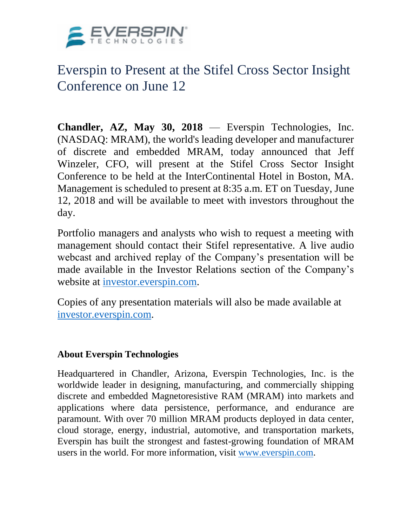

## Everspin to Present at the Stifel Cross Sector Insight Conference on June 12

**Chandler, AZ, May 30, 2018** — Everspin Technologies, Inc. (NASDAQ: MRAM), the world's leading developer and manufacturer of discrete and embedded MRAM, today announced that Jeff Winzeler, CFO, will present at the Stifel Cross Sector Insight Conference to be held at the InterContinental Hotel in Boston, MA. Management is scheduled to present at 8:35 a.m. ET on Tuesday, June 12, 2018 and will be available to meet with investors throughout the day.

Portfolio managers and analysts who wish to request a meeting with management should contact their Stifel representative. A live audio webcast and archived replay of the Company's presentation will be made available in the Investor Relations section of the Company's website at [investor.everspin.com.](http://www.investor.everspin.com/)

Copies of any presentation materials will also be made available at [investor.everspin.com.](http://www.investor.everspin.com/)

## **About Everspin Technologies**

Headquartered in Chandler, Arizona, Everspin Technologies, Inc. is the worldwide leader in designing, manufacturing, and commercially shipping discrete and embedded Magnetoresistive RAM (MRAM) into markets and applications where data persistence, performance, and endurance are paramount. With over 70 million MRAM products deployed in data center, cloud storage, energy, industrial, automotive, and transportation markets, Everspin has built the strongest and fastest-growing foundation of MRAM users in the world. For more information, visit [www.everspin.com.](http://www.everspin.com/)